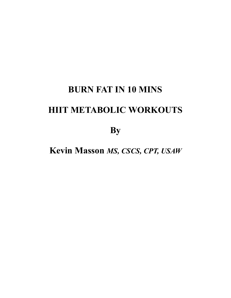# **BURN FAT IN 10 MINS HIIT METABOLIC WORKOUTS**

**By** 

**Kevin Masson** *MS, CSCS, CPT, USAW*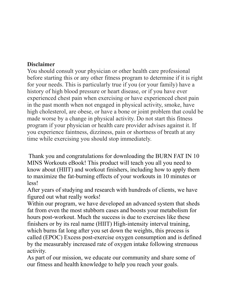#### **Disclaimer**

You should consult your physician or other health care professional before starting this or any other fitness program to determine if it is right for your needs. This is particularly true if you (or your family) have a history of high blood pressure or heart disease, or if you have ever experienced chest pain when exercising or have experienced chest pain in the past month when not engaged in physical activity, smoke, have high cholesterol, are obese, or have a bone or joint problem that could be made worse by a change in physical activity. Do not start this fitness program if your physician or health care provider advises against it. If you experience faintness, dizziness, pain or shortness of breath at any time while exercising you should stop immediately.

 Thank you and congratulations for downloading the BURN FAT IN 10 MINS Workouts eBook! This product will teach you all you need to know about (HIIT) and workout finishers, including how to apply them to maximize the fat-burning effects of your workouts in 10 minutes or less!

After years of studying and research with hundreds of clients, we have figured out what really works!

Within our program, we have developed an advanced system that sheds fat from even the most stubborn cases and boosts your metabolism for hours post-workout. Much the success is due to exercises like these finishers or by its real name (HIIT) High-intensity interval training, which burns fat long after you set down the weights, this process is called (EPOC) Excess post-exercise oxygen consumption and is defined by the measurably increased rate of oxygen intake following strenuous activity.

As part of our mission, we educate our community and share some of our fitness and health knowledge to help you reach your goals.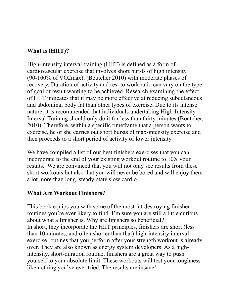### **What is (HIIT)?**

High-intensity interval training (HIIT) is defined as a form of cardiovascular exercise that involves short bursts of high intensity (90-100% of VO2max), (Boutcher 2010) with moderate phases of recovery. Duration of activity and rest to work ratio can vary on the type of goal or result wanting to be achieved. Research examining the effect of HIIT indicates that it may be more effective at reducing subcutaneous and abdominal body fat than other types of exercise. Due to its intense nature, it is recommended that individuals undertaking High-Intensity Interval Training should only do it for less than thirty minutes (Boutcher, 2010). Therefore, within a specific timeframe that a person wants to exercise, he or she carries out short bursts of max-intensity exercise and then proceeds to a short period of activity of lower intensity.

We have compiled a list of our best finishers exercises that you can incorporate to the end of your existing workout routine to 10X your results. We are convinced that you will not only see results from these short workouts but also that you will never be bored and will enjoy them a lot more than long, steady-state slow cardio.

#### **What Are Workout Finishers?**

This book equips you with some of the most fat-destroying finisher routines you're ever likely to find. I'm sure you are still a little curious about what a finisher is. Why are finishers so beneficial? In short, they incorporate the HIIT principles, finishers are short (less than 10 minutes, and often shorter than that) high-intensity interval exercise routines that you perform after your strength workout is already over. They are also known as energy system developers. As a highintensity, short-duration routine, finishers are a great way to push yourself to your absolute limit. These workouts will test your toughness like nothing you've ever tried. The results are insane!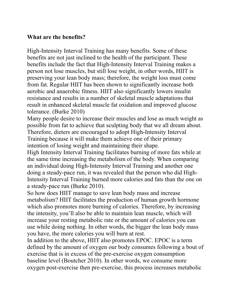#### **What are the benefits?**

High-Intensity Interval Training has many benefits. Some of these benefits are not just inclined to the health of the participant. These benefits include the fact that High-Intensity Interval Training makes a person not lose muscles, but still lose weight, in other words, HIIT is preserving your lean body mass; therefore, the weight loss must come from fat. Regular HIIT has been shown to significantly increase both aerobic and anaerobic fitness. HIIT also significantly lowers insulin resistance and results in a number of skeletal muscle adaptations that result in enhanced skeletal muscle fat oxidation and improved glucose tolerance. (Burke 2010)

Many people desire to increase their muscles and lose as much weight as possible from fat to achieve that sculpting body that we all dream about. Therefore, dieters are encouraged to adopt High-Intensity Interval Training because it will make them achieve one of their primary intention of losing weight and maintaining their shape.

High Intensity Interval Training facilitates burning of more fats while at the same time increasing the metabolism of the body. When comparing an individual doing High-Intensity Interval Training and another one doing a steady-pace run, it was revealed that the person who did High-Intensity Interval Training burned more calories and fats than the one on a steady-pace run (Burke 2010).

So how does HIIT manage to save lean body mass and increase metabolism? HIIT facilitates the production of human growth hormone which also promotes more burning of calories. Therefore, by increasing the intensity, you'll also be able to maintain lean muscle, which will increase your resting metabolic rate or the amount of calories you can use while doing nothing. In other words, the bigger the lean body mass you have, the more calories you will burn at rest.

In addition to the above, HIIT also promotes EPOC. EPOC is a term defined by the amount of oxygen our body consumes following a bout of exercise that is in excess of the pre-exercise oxygen consumption baseline level (Boutcher 2010). In other words, we consume more oxygen post-exercise then pre-exercise, this process increases metabolic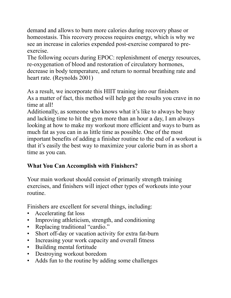demand and allows to burn more calories during recovery phase or homeostasis. This recovery process requires energy, which is why we see an increase in calories expended post-exercise compared to preexercise.

The following occurs during EPOC: replenishment of energy resources, re-oxygenation of blood and restoration of circulatory hormones, decrease in body temperature, and return to normal breathing rate and heart rate. (Reynolds 2001)

As a result, we incorporate this HIIT training into our finishers As a matter of fact, this method will help get the results you crave in no time at all!

Additionally, as someone who knows what it's like to always be busy and lacking time to hit the gym more than an hour a day, I am always looking at how to make my workout more efficient and ways to burn as much fat as you can in as little time as possible. One of the most important benefits of adding a finisher routine to the end of a workout is that it's easily the best way to maximize your calorie burn in as short a time as you can.

# **What You Can Accomplish with Finishers?**

Your main workout should consist of primarily strength training exercises, and finishers will inject other types of workouts into your routine.

Finishers are excellent for several things, including:

- Accelerating fat loss
- Improving athleticism, strength, and conditioning
- Replacing traditional "cardio."
- Short off-day or vacation activity for extra fat-burn
- Increasing your work capacity and overall fitness
- Building mental fortitude
- Destroying workout boredom
- Adds fun to the routine by adding some challenges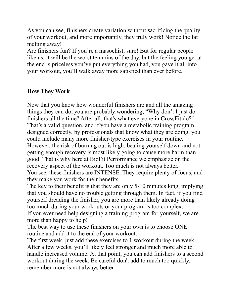As you can see, finishers create variation without sacrificing the quality of your workout, and more importantly, they truly work! Notice the fat melting away!

Are finishers fun? If you're a masochist, sure! But for regular people like us, it will be the worst ten mins of the day, but the feeling you get at the end is priceless you've put everything you had, you gave it all into your workout, you'll walk away more satisfied than ever before.

### **How They Work**

Now that you know how wonderful finishers are and all the amazing things they can do, you are probably wondering, "Why don't I just do finishers all the time? After all, that's what everyone in CrossFit do?" That's a valid question, and if you have a metabolic training program designed correctly, by professionals that know what they are doing, you could include many more finisher-type exercises in your routine. However, the risk of burning out is high, beating yourself down and not getting enough recovery is most likely going to cause more harm than good. That is why here at BioFit Performance we emphasize on the recovery aspect of the workout. Too much is not always better. You see, these finishers are INTENSE. They require plenty of focus, and they make you work for their benefits.

The key to their benefit is that they are only 5-10 minutes long, implying that you should have no trouble getting through them. In fact, if you find yourself dreading the finisher, you are more than likely already doing too much during your workouts or your program is too complex.

If you ever need help designing a training program for yourself, we are more than happy to help!

The best way to use these finishers on your own is to choose ONE routine and add it to the end of your workout.

The first week, just add these exercises to 1 workout during the week. After a few weeks, you'll likely feel stronger and much more able to handle increased volume. At that point, you can add finishers to a second workout during the week. Be careful don't add to much too quickly, remember more is not always better.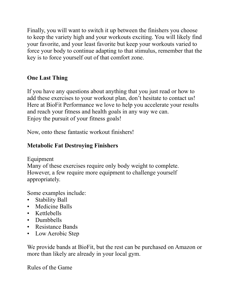Finally, you will want to switch it up between the finishers you choose to keep the variety high and your workouts exciting. You will likely find your favorite, and your least favorite but keep your workouts varied to force your body to continue adapting to that stimulus, remember that the key is to force yourself out of that comfort zone.

# **One Last Thing**

If you have any questions about anything that you just read or how to add these exercises to your workout plan, don't hesitate to contact us! Here at BioFit Performance we love to help you accelerate your results and reach your fitness and health goals in any way we can. Enjoy the pursuit of your fitness goals!

Now, onto these fantastic workout finishers!

## **Metabolic Fat Destroying Finishers**

Equipment

Many of these exercises require only body weight to complete. However, a few require more equipment to challenge yourself appropriately.

Some examples include:

- Stability Ball
- Medicine Balls
- Kettlebells
- Dumbbells
- Resistance Bands
- Low Aerobic Step

We provide bands at BioFit, but the rest can be purchased on Amazon or more than likely are already in your local gym.

Rules of the Game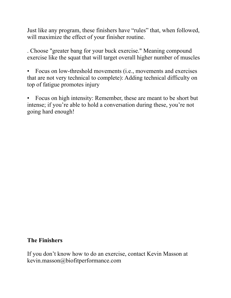Just like any program, these finishers have "rules" that, when followed, will maximize the effect of your finisher routine.

. Choose "greater bang for your buck exercise." Meaning compound exercise like the squat that will target overall higher number of muscles

• Focus on low-threshold movements (i.e., movements and exercises that are not very technical to complete): Adding technical difficulty on top of fatigue promotes injury

• Focus on high intensity: Remember, these are meant to be short but intense; if you're able to hold a conversation during these, you're not going hard enough!

#### **The Finishers**

If you don't know how to do an exercise, contact Kevin Masson at kevin.masson@biofitperformance.com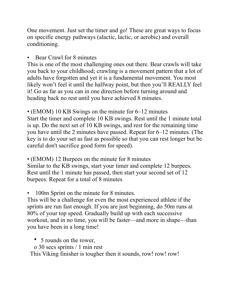One movement. Just set the timer and go! These are great ways to focus on specific energy pathways (alactic, lactic, or aerobic) and overall conditioning.

• Bear Crawl for 8 minutes

This is one of the most challenging ones out there. Bear crawls will take you back to your childhood; crawling is a movement pattern that a lot of adults have forgotten and yet it is a fundamental movement. You most likely won't feel it until the halfway point, but then you'll REALLY feel it! Go as far as you can in one direction before turning around and heading back no rest until you have achieved 8 minutes.

• (EMOM) 10 KB Swings on the minute for 6–12 minutes Start the timer and complete 10 KB swings. Rest until the 1 minute total is up. Do the next set of 10 KB swings, and rest for the remaining time you have until the 2 minutes have passed. Repeat for 6–12 minutes. (The key is to do your set as fast as possible so that you can rest longer but be careful don't sacrifice good form for speed).

• (EMOM) 12 Burpees on the minute for 8 minutes Similar to the KB swings, start your timer and complete 12 burpees. Rest until the 1 minute has passed, then start your second set of 12 burpees. Repeat for a total of 8 minutes

100m Sprint on the minute for 8 minutes.

This will be a challenge for even the most experienced athlete if the sprints are run fast enough. If you are just beginning, do 50m runs at 80% of your top speed. Gradually build up with each successive workout, and in no time, you will be faster—and more in shape—than you have been in a long time!

• 5 rounds on the rower,

o 30 secs sprints / 1 min rest

This Viking finisher is tougher then it sounds, row! row! row!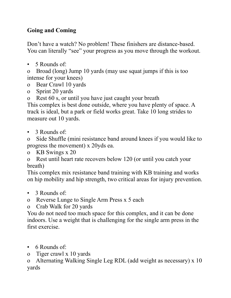# **Going and Coming**

Don't have a watch? No problem! These finishers are distance-based. You can literally "see" your progress as you move through the workout.

• 5 Rounds of:

o Broad (long) Jump 10 yards (may use squat jumps if this is too intense for your knees)

- o Bear Crawl 10 yards
- o Sprint 20 yards

o Rest 60 s, or until you have just caught your breath

This complex is best done outside, where you have plenty of space. A track is ideal, but a park or field works great. Take 10 long strides to measure out 10 yards.

• 3 Rounds of:

o Side Shuffle (mini resistance band around knees if you would like to progress the movement) x 20yds ea.

o KB Swings x 20

o Rest until heart rate recovers below 120 (or until you catch your breath)

This complex mix resistance band training with KB training and works on hip mobility and hip strength, two critical areas for injury prevention.

- 3 Rounds of:
- o Reverse Lunge to Single Arm Press x 5 each

o Crab Walk for 20 yards

You do not need too much space for this complex, and it can be done indoors. Use a weight that is challenging for the single arm press in the first exercise.

- 6 Rounds of:
- o Tiger crawl x 10 yards

o Alternating Walking Single Leg RDL (add weight as necessary) x 10 yards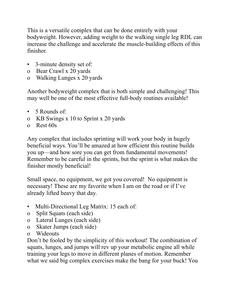This is a versatile complex that can be done entirely with your bodyweight. However, adding weight to the walking single leg RDL can increase the challenge and accelerate the muscle-building effects of this finisher.

- 3-minute density set of:
- o Bear Crawl x 20 yards
- o Walking Lunges x 20 yards

Another bodyweight complex that is both simple and challenging! This may well be one of the most effective full-body routines available!

- 5 Rounds of:
- o KB Swings x 10 to Sprint x 20 yards
- o Rest 60s

Any complex that includes sprinting will work your body in hugely beneficial ways. You'll be amazed at how efficient this routine builds you up—and how sore you can get from fundamental movements! Remember to be careful in the sprints, but the sprint is what makes the finisher mostly beneficial!

Small space, no equipment, we got you covered! No equipment is necessary! These are my favorite when I am on the road or if I've already lifted heavy that day.

- Multi-Directional Leg Matrix: 15 each of:
- o Split Squats (each side)
- o Lateral Lunges (each side)
- o Skater Jumps (each side)
- o Wideouts

Don't be fooled by the simplicity of this workout! The combination of squats, lunges, and jumps will rev up your metabolic engine all while training your legs to move in different planes of motion. Remember what we said big complex exercises make the bang for your buck! You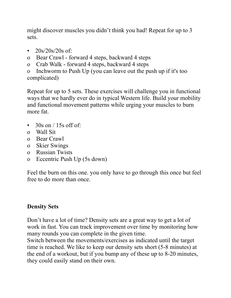might discover muscles you didn't think you had! Repeat for up to 3 sets.

- $20s/20s/20s$  of:
- o Bear Crawl forward 4 steps, backward 4 steps
- o Crab Walk forward 4 steps, backward 4 steps

o Inchworm to Push Up (you can leave out the push up if it's too complicated)

Repeat for up to 5 sets. These exercises will challenge you in functional ways that we hardly ever do in typical Western life. Build your mobility and functional movement patterns while urging your muscles to burn more fat.

- $30s$  on  $/15s$  off of:
- o Wall Sit
- o Bear Crawl
- o Skier Swings
- o Russian Twists
- o Eccentric Push Up (5s down)

Feel the burn on this one. you only have to go through this once but feel free to do more than once.

# **Density Sets**

Don't have a lot of time? Density sets are a great way to get a lot of work in fast. You can track improvement over time by monitoring how many rounds you can complete in the given time.

Switch between the movements/exercises as indicated until the target time is reached. We like to keep our density sets short (5-8 minutes) at the end of a workout, but if you bump any of these up to 8-20 minutes, they could easily stand on their own.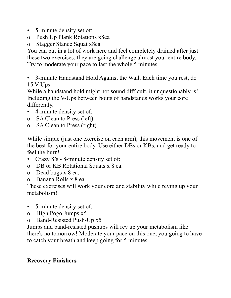- 5-minute density set of:
- o Push Up Plank Rotations x8ea

o Stagger Stance Squat x8ea

You can put in a lot of work here and feel completely drained after just these two exercises; they are going challenge almost your entire body. Try to moderate your pace to last the whole 5 minutes.

• 3-minute Handstand Hold Against the Wall. Each time you rest, do 15 V-Ups!

While a handstand hold might not sound difficult, it unquestionably is! Including the V-Ups between bouts of handstands works your core differently.

- 4-minute density set of:
- o SA Clean to Press (left)
- o SA Clean to Press (right)

While simple (just one exercise on each arm), this movement is one of the best for your entire body. Use either DBs or KBs, and get ready to feel the burn!

- Crazy 8's 8-minute density set of:
- o DB or KB Rotational Squats x 8 ea.
- o Dead bugs x 8 ea.
- o Banana Rolls x 8 ea.

These exercises will work your core and stability while reving up your metabolism!

- 5-minute density set of:
- o High Pogo Jumps x5
- o Band-Resisted Push-Up x5

Jumps and band-resisted pushups will rev up your metabolism like there's no tomorrow! Moderate your pace on this one, you going to have to catch your breath and keep going for 5 minutes.

### **Recovery Finishers**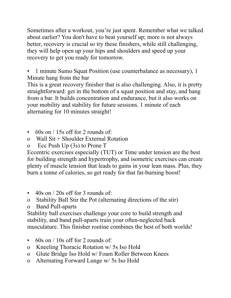Sometimes after a workout, you're just spent. Remember what we talked about earlier? You don't have to beat yourself up; more is not always better, recovery is crucial so try these finishers, while still challenging, they will help open up your hips and shoulders and speed up your recovery to get you ready for tomorrow.

• 1 minute Sumo Squat Position (use counterbalance as necessary), 1 Minute hang from the bar

This is a great recovery finisher that is also challenging. Also, it is pretty straightforward: get in the bottom of a squat position and stay, and hang from a bar. It builds concentration and endurance, but it also works on your mobility and stability for future sessions. 1 minute of each alternating for 10 minutes straight!

- 60s on  $/$  15s off for 2 rounds of:
- o Wall Sit + Shoulder External Rotation
- o Ecc Push Up (3s) to Prone T

Eccentric exercises especially (TUT) or Time under tension are the best for building strength and hypertrophy, and isometric exercises can create plenty of muscle tension that leads to gains in your lean mass. Plus, they burn a tonne of calories, so get ready for that fat-burning boost!

- 40s on / 20s off for 3 rounds of:
- o Stability Ball Stir the Pot (alternating directions of the stir)
- o Band Pull-aparts

Stability ball exercises challenge your core to build strength and stability, and band pull-aparts train your often-neglected back musculature. This finisher routine combines the best of both worlds!

- 60s on  $/$  10s off for 2 rounds of:
- o Kneeling Thoracic Rotation w/ 5s Iso Hold
- o Glute Bridge Iso Hold w/ Foam Roller Between Knees
- o Alternating Forward Lunge w/ 5s Iso Hold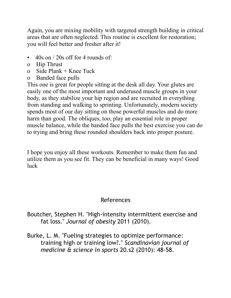Again, you are mixing mobility with targeted strength building in critical areas that are often neglected. This routine is excellent for restoration; you will feel better and fresher after it!

- 40s on  $/$  20s off for 4 rounds of:
- o Hip Thrust
- o Side Plank  $+$  Knee Tuck
- o Banded face pulls

This one is great for people sitting at the desk all day. Your glutes are easily one of the most important and underused muscle groups in your body, as they stabilize your hip region and are recruited in everything from standing and walking to sprinting. Unfortunately, modern society spends most of our day sitting on those powerful muscles and do more harm than good. The obliques, too, play an essential role in proper muscle balance, while the banded face pulls the best exercise you can do to trying and bring these rounded shoulders back into proper posture.

I hope you enjoy all these workouts. Remember to make them fun and utilize them as you see fit. They can be beneficial in many ways! Good luck

# References

Boutcher, Stephen H. "High-intensity intermittent exercise and fat loss." *Journal of obesity* 2011 (2010).

Burke, L. M. "Fueling strategies to optimize performance: training high or training low?." *Scandinavian journal of medicine & science in sports* 20.s2 (2010): 48-58.